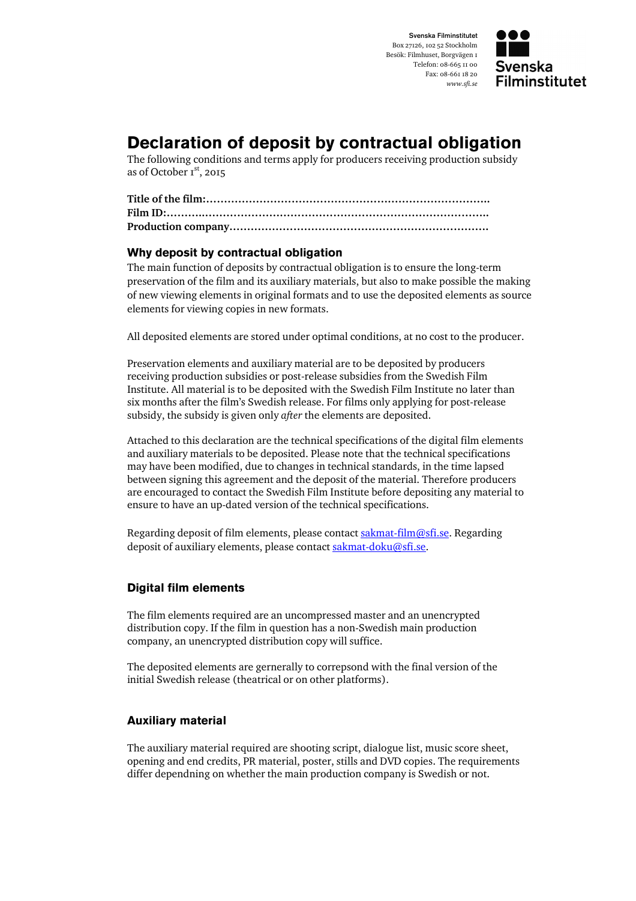Svenska Filminstitutet Box 27126, 102 52 Stockholm Besök: Filmhuset, Borgvägen 1 Telefon: 08-665 11 00 Fax: 08-661 18 20 www.sfi.se



# Declaration of deposit by contractual obligation

The following conditions and terms apply for producers receiving production subsidy as of October  $r^{st}$ , 2015

## Why deposit by contractual obligation

The main function of deposits by contractual obligation is to ensure the long-term preservation of the film and its auxiliary materials, but also to make possible the making of new viewing elements in original formats and to use the deposited elements as source elements for viewing copies in new formats.

All deposited elements are stored under optimal conditions, at no cost to the producer.

Preservation elements and auxiliary material are to be deposited by producers receiving production subsidies or post-release subsidies from the Swedish Film Institute. All material is to be deposited with the Swedish Film Institute no later than six months after the film's Swedish release. For films only applying for post-release subsidy, the subsidy is given only after the elements are deposited.

Attached to this declaration are the technical specifications of the digital film elements and auxiliary materials to be deposited. Please note that the technical specifications may have been modified, due to changes in technical standards, in the time lapsed between signing this agreement and the deposit of the material. Therefore producers are encouraged to contact the Swedish Film Institute before depositing any material to ensure to have an up-dated version of the technical specifications.

Regarding deposit of film elements, please contact sakmat-film@sfi.se. Regarding deposit of auxiliary elements, please contact sakmat-doku@sfi.se.

## Digital film elements

The film elements required are an uncompressed master and an unencrypted distribution copy. If the film in question has a non-Swedish main production company, an unencrypted distribution copy will suffice.

The deposited elements are gernerally to correpsond with the final version of the initial Swedish release (theatrical or on other platforms).

## Auxiliary material

The auxiliary material required are shooting script, dialogue list, music score sheet, opening and end credits, PR material, poster, stills and DVD copies. The requirements differ dependning on whether the main production company is Swedish or not.